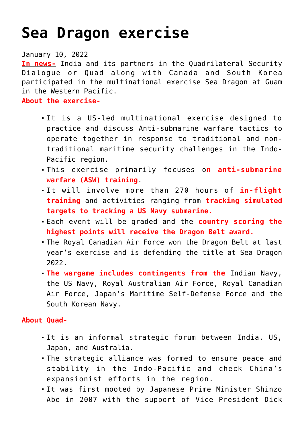## **[Sea Dragon exercise](https://journalsofindia.com/sea-dragon-exercise/)**

January 10, 2022

**In news-** India and its partners in the Quadrilateral Security Dialogue or Quad along with Canada and South Korea participated in the multinational exercise Sea Dragon at Guam in the Western Pacific.

**About the exercise-**

- It is a US-led multinational exercise designed to practice and discuss Anti-submarine warfare tactics to operate together in response to traditional and nontraditional maritime security challenges in the Indo-Pacific region.
- This exercise primarily focuses o**n anti-submarine warfare (ASW) training**.
- It will involve more than 270 hours of **in-flight training** and activities ranging from **tracking simulated targets to tracking a US Navy submarine.**
- Each event will be graded and the **country scoring the highest points will receive the Dragon Belt award.**
- The Royal Canadian Air Force won the Dragon Belt at last year's exercise and is defending the title at Sea Dragon 2022.
- **The wargame includes contingents from the** Indian Navy, the US Navy, Royal Australian Air Force, Royal Canadian Air Force, Japan's Maritime Self-Defense Force and the South Korean Navy.

## **About Quad-**

- It is an informal strategic forum between India, US, Japan, and Australia.
- The strategic alliance was formed to ensure peace and stability in the Indo-Pacific and check China's expansionist efforts in the region.
- It was first mooted by Japanese Prime Minister Shinzo Abe in 2007 with the support of Vice President Dick